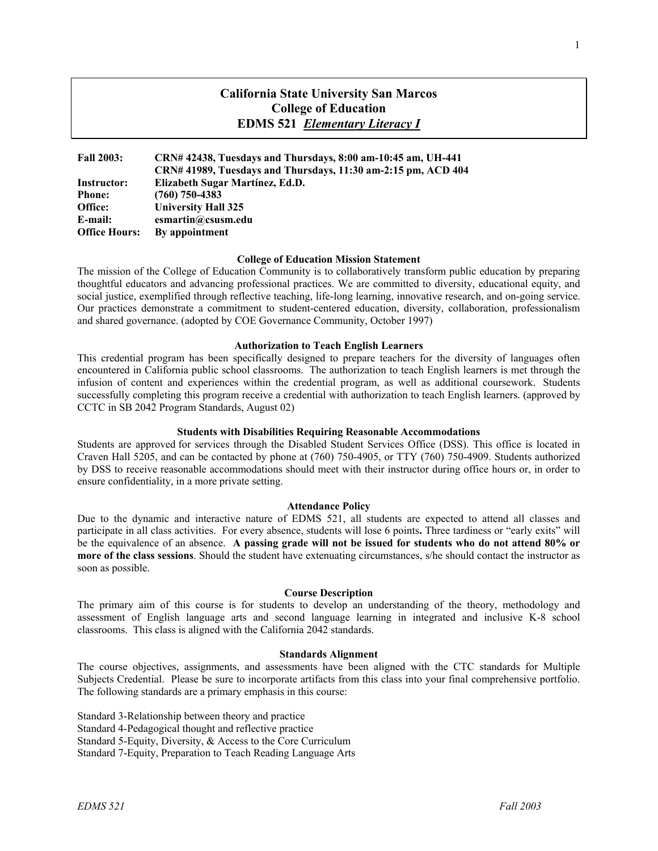# **California State University San Marcos College of Education EDMS 521** *Elementary Literacy I*

| <b>Fall 2003:</b>    | CRN# 42438, Tuesdays and Thursdays, 8:00 am-10:45 am, UH-441  |
|----------------------|---------------------------------------------------------------|
|                      | CRN# 41989, Tuesdays and Thursdays, 11:30 am-2:15 pm, ACD 404 |
| Instructor:          | Elizabeth Sugar Martínez, Ed.D.                               |
| <b>Phone:</b>        | $(760)$ 750-4383                                              |
| Office:              | <b>University Hall 325</b>                                    |
| E-mail:              | esmartin@csusm.edu                                            |
| <b>Office Hours:</b> | By appointment                                                |

#### **College of Education Mission Statement**

The mission of the College of Education Community is to collaboratively transform public education by preparing thoughtful educators and advancing professional practices. We are committed to diversity, educational equity, and social justice, exemplified through reflective teaching, life-long learning, innovative research, and on-going service. Our practices demonstrate a commitment to student-centered education, diversity, collaboration, professionalism and shared governance. (adopted by COE Governance Community, October 1997)

#### **Authorization to Teach English Learners**

This credential program has been specifically designed to prepare teachers for the diversity of languages often encountered in California public school classrooms. The authorization to teach English learners is met through the infusion of content and experiences within the credential program, as well as additional coursework. Students successfully completing this program receive a credential with authorization to teach English learners. (approved by CCTC in SB 2042 Program Standards, August 02)

### **Students with Disabilities Requiring Reasonable Accommodations**

Students are approved for services through the Disabled Student Services Office (DSS). This office is located in Craven Hall 5205, and can be contacted by phone at (760) 750-4905, or TTY (760) 750-4909. Students authorized by DSS to receive reasonable accommodations should meet with their instructor during office hours or, in order to ensure confidentiality, in a more private setting.

#### **Attendance Policy**

Due to the dynamic and interactive nature of EDMS 521, all students are expected to attend all classes and participate in all class activities. For every absence, students will lose 6 points**.** Three tardiness or "early exits" will be the equivalence of an absence. **A passing grade will not be issued for students who do not attend 80% or more of the class sessions**. Should the student have extenuating circumstances, s/he should contact the instructor as soon as possible.

#### **Course Description**

The primary aim of this course is for students to develop an understanding of the theory, methodology and assessment of English language arts and second language learning in integrated and inclusive K-8 school classrooms. This class is aligned with the California 2042 standards.

#### **Standards Alignment**

The course objectives, assignments, and assessments have been aligned with the CTC standards for Multiple Subjects Credential. Please be sure to incorporate artifacts from this class into your final comprehensive portfolio. The following standards are a primary emphasis in this course:

Standard 3-Relationship between theory and practice Standard 4-Pedagogical thought and reflective practice Standard 5-Equity, Diversity, & Access to the Core Curriculum Standard 7-Equity, Preparation to Teach Reading Language Arts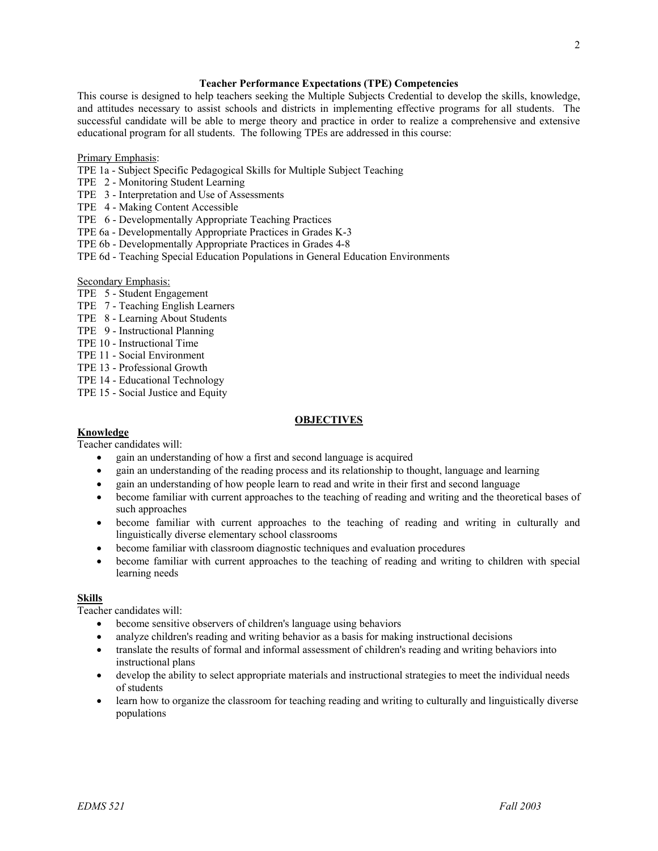### **Teacher Performance Expectations (TPE) Competencies**

This course is designed to help teachers seeking the Multiple Subjects Credential to develop the skills, knowledge, and attitudes necessary to assist schools and districts in implementing effective programs for all students. The successful candidate will be able to merge theory and practice in order to realize a comprehensive and extensive educational program for all students. The following TPEs are addressed in this course:

### Primary Emphasis:

- TPE 1a Subject Specific Pedagogical Skills for Multiple Subject Teaching
- TPE 2 Monitoring Student Learning
- TPE 3 Interpretation and Use of Assessments
- TPE 4 Making Content Accessible
- TPE 6 Developmentally Appropriate Teaching Practices
- TPE 6a Developmentally Appropriate Practices in Grades K-3
- TPE 6b Developmentally Appropriate Practices in Grades 4-8
- TPE 6d Teaching Special Education Populations in General Education Environments

## Secondary Emphasis:

- TPE 5 Student Engagement
- TPE 7 Teaching English Learners
- TPE 8 Learning About Students
- TPE 9 Instructional Planning
- TPE 10 Instructional Time
- TPE 11 Social Environment
- TPE 13 Professional Growth
- TPE 14 Educational Technology
- TPE 15 Social Justice and Equity

### **OBJECTIVES**

### **Knowledge**

Teacher candidates will:

- gain an understanding of how a first and second language is acquired
- gain an understanding of the reading process and its relationship to thought, language and learning
- gain an understanding of how people learn to read and write in their first and second language
- become familiar with current approaches to the teaching of reading and writing and the theoretical bases of such approaches
- become familiar with current approaches to the teaching of reading and writing in culturally and linguistically diverse elementary school classrooms
- become familiar with classroom diagnostic techniques and evaluation procedures
- become familiar with current approaches to the teaching of reading and writing to children with special learning needs

## **Skills**

Teacher candidates will:

- become sensitive observers of children's language using behaviors
- analyze children's reading and writing behavior as a basis for making instructional decisions
- translate the results of formal and informal assessment of children's reading and writing behaviors into instructional plans
- develop the ability to select appropriate materials and instructional strategies to meet the individual needs of students
- learn how to organize the classroom for teaching reading and writing to culturally and linguistically diverse populations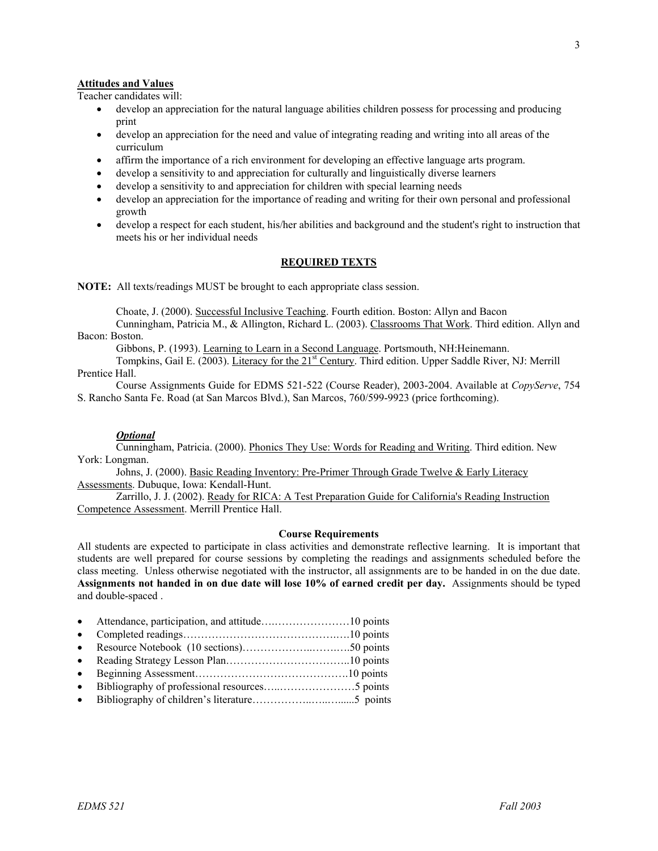# **Attitudes and Values**

Teacher candidates will:

- develop an appreciation for the natural language abilities children possess for processing and producing print
- develop an appreciation for the need and value of integrating reading and writing into all areas of the curriculum
- affirm the importance of a rich environment for developing an effective language arts program.
- develop a sensitivity to and appreciation for culturally and linguistically diverse learners
- develop a sensitivity to and appreciation for children with special learning needs
- develop an appreciation for the importance of reading and writing for their own personal and professional growth
- develop a respect for each student, his/her abilities and background and the student's right to instruction that meets his or her individual needs

### **REQUIRED TEXTS**

**NOTE:** All texts/readings MUST be brought to each appropriate class session.

Choate, J. (2000). Successful Inclusive Teaching. Fourth edition. Boston: Allyn and Bacon

Cunningham, Patricia M., & Allington, Richard L. (2003). Classrooms That Work. Third edition. Allyn and Bacon: Boston.

Gibbons, P. (1993). Learning to Learn in a Second Language. Portsmouth, NH:Heinemann.

Tompkins, Gail E. (2003). Literacy for the 21<sup>st</sup> Century. Third edition. Upper Saddle River, NJ: Merrill Prentice Hall.

Course Assignments Guide for EDMS 521-522 (Course Reader), 2003-2004. Available at *CopyServe*, 754 S. Rancho Santa Fe. Road (at San Marcos Blvd.), San Marcos, 760/599-9923 (price forthcoming).

#### *Optional*

Cunningham, Patricia. (2000). Phonics They Use: Words for Reading and Writing. Third edition. New York: Longman.

Johns, J. (2000). Basic Reading Inventory: Pre-Primer Through Grade Twelve & Early Literacy Assessments. Dubuque, Iowa: Kendall-Hunt.

Zarrillo, J. J. (2002). Ready for RICA: A Test Preparation Guide for California's Reading Instruction Competence Assessment. Merrill Prentice Hall.

### **Course Requirements**

All students are expected to participate in class activities and demonstrate reflective learning. It is important that students are well prepared for course sessions by completing the readings and assignments scheduled before the class meeting. Unless otherwise negotiated with the instructor, all assignments are to be handed in on the due date. **Assignments not handed in on due date will lose 10% of earned credit per day.** Assignments should be typed and double-spaced .

- Attendance, participation, and attitude….…………………10 points
- Completed readings…………………………………….….10 points
- Resource Notebook (10 sections)………………..…….….50 points
- Reading Strategy Lesson Plan……………………………..10 points
- Beginning Assessment…………………………………….10 points
- Bibliography of professional resources…..…………………5 points
- Bibliography of children's literature……………..…..…......5 points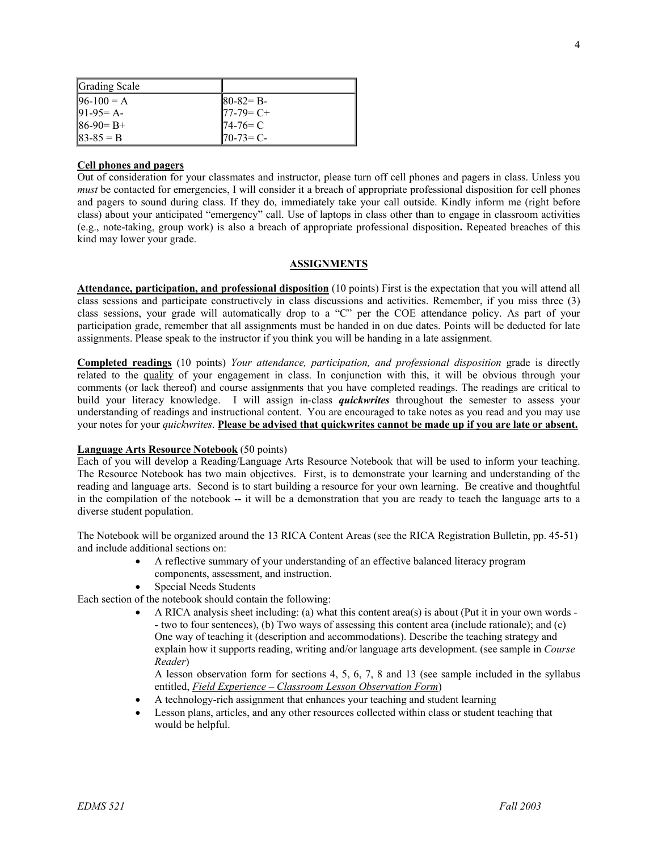| Grading Scale |              |
|---------------|--------------|
| $96-100 = A$  | $ 80-82= B-$ |
| $91-95 = A$   | $77-79=C+$   |
| $86-90= B+$   | $74-76=C$    |
| $83-85 = B$   | $170-73=C$   |

# **Cell phones and pagers**

Out of consideration for your classmates and instructor, please turn off cell phones and pagers in class. Unless you *must* be contacted for emergencies, I will consider it a breach of appropriate professional disposition for cell phones and pagers to sound during class. If they do, immediately take your call outside. Kindly inform me (right before class) about your anticipated "emergency" call. Use of laptops in class other than to engage in classroom activities (e.g., note-taking, group work) is also a breach of appropriate professional disposition**.** Repeated breaches of this kind may lower your grade.

### **ASSIGNMENTS**

**Attendance, participation, and professional disposition** (10 points) First is the expectation that you will attend all class sessions and participate constructively in class discussions and activities. Remember, if you miss three (3) class sessions, your grade will automatically drop to a "C" per the COE attendance policy. As part of your participation grade, remember that all assignments must be handed in on due dates. Points will be deducted for late assignments. Please speak to the instructor if you think you will be handing in a late assignment.

**Completed readings** (10 points) *Your attendance, participation, and professional disposition* grade is directly related to the quality of your engagement in class. In conjunction with this, it will be obvious through your comments (or lack thereof) and course assignments that you have completed readings. The readings are critical to build your literacy knowledge. I will assign in-class *quickwrites* throughout the semester to assess your understanding of readings and instructional content. You are encouraged to take notes as you read and you may use your notes for your *quickwrites*. **Please be advised that quickwrites cannot be made up if you are late or absent.**

### **Language Arts Resource Notebook** (50 points)

Each of you will develop a Reading/Language Arts Resource Notebook that will be used to inform your teaching. The Resource Notebook has two main objectives. First, is to demonstrate your learning and understanding of the reading and language arts. Second is to start building a resource for your own learning. Be creative and thoughtful in the compilation of the notebook -- it will be a demonstration that you are ready to teach the language arts to a diverse student population.

The Notebook will be organized around the 13 RICA Content Areas (see the RICA Registration Bulletin, pp. 45-51) and include additional sections on:

- A reflective summary of your understanding of an effective balanced literacy program components, assessment, and instruction.
- Special Needs Students

Each section of the notebook should contain the following:

• A RICA analysis sheet including: (a) what this content area(s) is about (Put it in your own words - - two to four sentences), (b) Two ways of assessing this content area (include rationale); and (c) One way of teaching it (description and accommodations). Describe the teaching strategy and explain how it supports reading, writing and/or language arts development. (see sample in *Course Reader*)

A lesson observation form for sections 4, 5, 6, 7, 8 and 13 (see sample included in the syllabus entitled, *Field Experience – Classroom Lesson Observation Form*)

- A technology-rich assignment that enhances your teaching and student learning
- Lesson plans, articles, and any other resources collected within class or student teaching that would be helpful.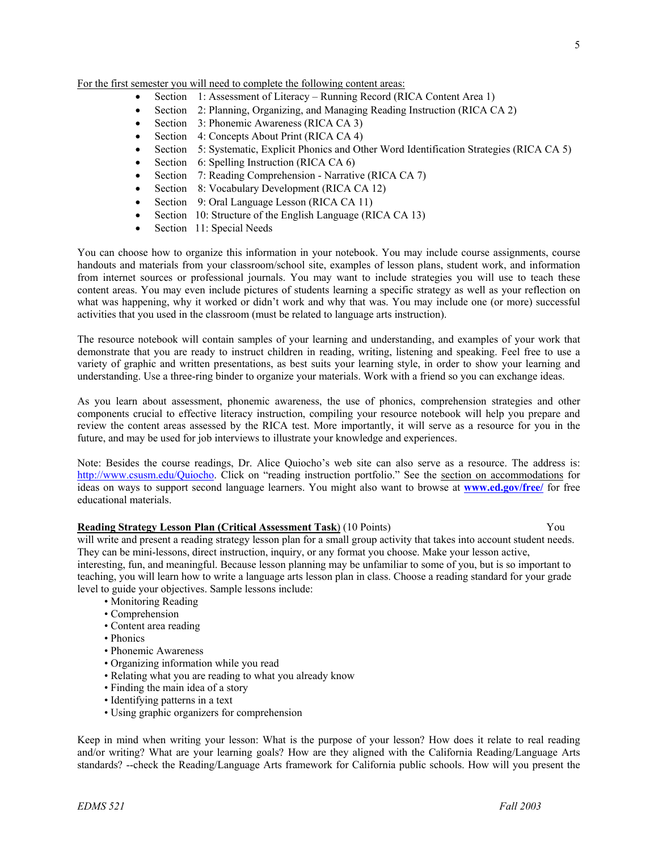5

For the first semester you will need to complete the following content areas:

- Section 1: Assessment of Literacy Running Record (RICA Content Area 1)
- Section 2: Planning, Organizing, and Managing Reading Instruction (RICA CA 2)
- Section 3: Phonemic Awareness (RICA CA 3)
- Section 4: Concepts About Print (RICA CA 4)
- Section 5: Systematic, Explicit Phonics and Other Word Identification Strategies (RICA CA 5)
- Section 6: Spelling Instruction (RICA CA 6)
- Section 7: Reading Comprehension Narrative (RICA CA 7)
- Section 8: Vocabulary Development (RICA CA 12)
- Section 9: Oral Language Lesson (RICA CA 11)
- Section 10: Structure of the English Language (RICA CA 13)
- Section 11: Special Needs

You can choose how to organize this information in your notebook. You may include course assignments, course handouts and materials from your classroom/school site, examples of lesson plans, student work, and information from internet sources or professional journals. You may want to include strategies you will use to teach these content areas. You may even include pictures of students learning a specific strategy as well as your reflection on what was happening, why it worked or didn't work and why that was. You may include one (or more) successful activities that you used in the classroom (must be related to language arts instruction).

The resource notebook will contain samples of your learning and understanding, and examples of your work that demonstrate that you are ready to instruct children in reading, writing, listening and speaking. Feel free to use a variety of graphic and written presentations, as best suits your learning style, in order to show your learning and understanding. Use a three-ring binder to organize your materials. Work with a friend so you can exchange ideas.

As you learn about assessment, phonemic awareness, the use of phonics, comprehension strategies and other components crucial to effective literacy instruction, compiling your resource notebook will help you prepare and review the content areas assessed by the RICA test. More importantly, it will serve as a resource for you in the future, and may be used for job interviews to illustrate your knowledge and experiences.

Note: Besides the course readings, Dr. Alice Quiocho's web site can also serve as a resource. The address is: http://www.csusm.edu/Quiocho. Click on "reading instruction portfolio." See the section on accommodations for ideas on ways to support second language learners. You might also want to browse at **www.ed.gov/free/** for free educational materials.

### **Reading Strategy Lesson Plan (Critical Assessment Task)** (10 Points) Vou

will write and present a reading strategy lesson plan for a small group activity that takes into account student needs. They can be mini-lessons, direct instruction, inquiry, or any format you choose. Make your lesson active,

interesting, fun, and meaningful. Because lesson planning may be unfamiliar to some of you, but is so important to teaching, you will learn how to write a language arts lesson plan in class. Choose a reading standard for your grade level to guide your objectives. Sample lessons include:

- Monitoring Reading
- Comprehension
- Content area reading
- Phonics
- Phonemic Awareness
- Organizing information while you read
- Relating what you are reading to what you already know
- Finding the main idea of a story
- Identifying patterns in a text
- Using graphic organizers for comprehension

Keep in mind when writing your lesson: What is the purpose of your lesson? How does it relate to real reading and/or writing? What are your learning goals? How are they aligned with the California Reading/Language Arts standards? --check the Reading/Language Arts framework for California public schools. How will you present the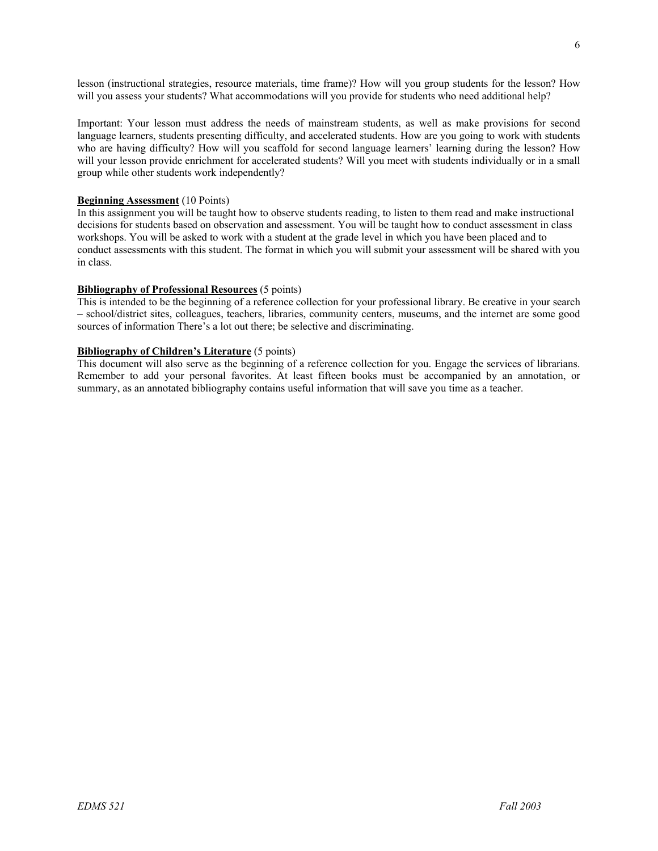lesson (instructional strategies, resource materials, time frame)? How will you group students for the lesson? How will you assess your students? What accommodations will you provide for students who need additional help?

Important: Your lesson must address the needs of mainstream students, as well as make provisions for second language learners, students presenting difficulty, and accelerated students. How are you going to work with students who are having difficulty? How will you scaffold for second language learners' learning during the lesson? How will your lesson provide enrichment for accelerated students? Will you meet with students individually or in a small group while other students work independently?

### **Beginning Assessment** (10 Points)

In this assignment you will be taught how to observe students reading, to listen to them read and make instructional decisions for students based on observation and assessment. You will be taught how to conduct assessment in class workshops. You will be asked to work with a student at the grade level in which you have been placed and to conduct assessments with this student. The format in which you will submit your assessment will be shared with you in class.

### **Bibliography of Professional Resources** (5 points)

This is intended to be the beginning of a reference collection for your professional library. Be creative in your search – school/district sites, colleagues, teachers, libraries, community centers, museums, and the internet are some good sources of information There's a lot out there; be selective and discriminating.

### **Bibliography of Children's Literature** (5 points)

This document will also serve as the beginning of a reference collection for you. Engage the services of librarians. Remember to add your personal favorites. At least fifteen books must be accompanied by an annotation, or summary, as an annotated bibliography contains useful information that will save you time as a teacher.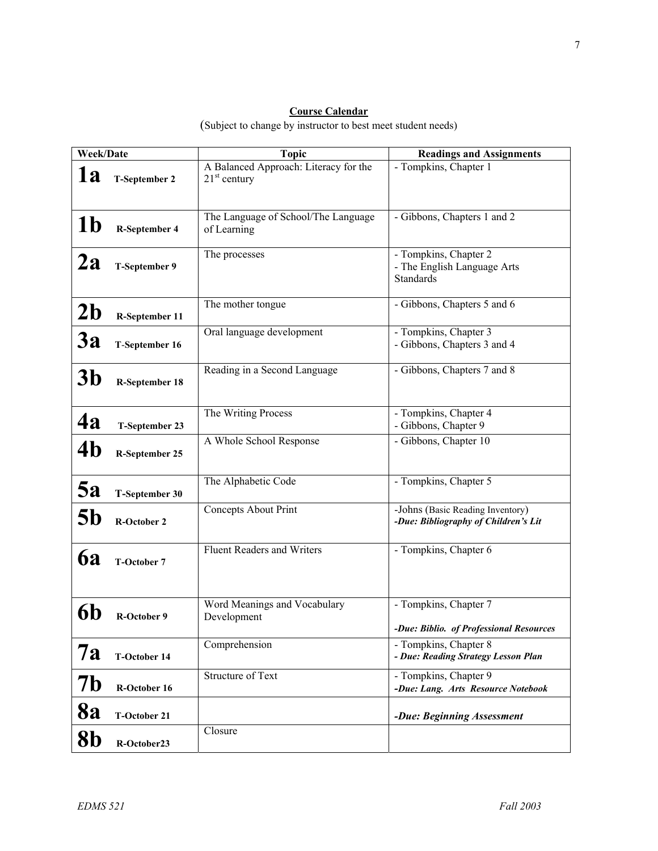# **Course Calendar**

(Subject to change by instructor to best meet student needs)

| Week/Date      |                       | <b>Topic</b>                                            | <b>Readings and Assignments</b>                                          |
|----------------|-----------------------|---------------------------------------------------------|--------------------------------------------------------------------------|
| 1a             | <b>T-September 2</b>  | A Balanced Approach: Literacy for the<br>$21st$ century | - Tompkins, Chapter 1                                                    |
| 1 <sub>b</sub> | <b>R-September 4</b>  | The Language of School/The Language<br>of Learning      | - Gibbons, Chapters 1 and 2                                              |
| 2a             | T-September 9         | The processes                                           | - Tompkins, Chapter 2<br>- The English Language Arts<br><b>Standards</b> |
| 2 <sub>b</sub> | R-September 11        | The mother tongue                                       | - Gibbons, Chapters 5 and 6                                              |
| <b>3a</b>      | T-September 16        | Oral language development                               | - Tompkins, Chapter 3<br>- Gibbons, Chapters 3 and 4                     |
| 3b             | R-September 18        | Reading in a Second Language                            | - Gibbons, Chapters 7 and 8                                              |
| <b>4a</b>      | T-September 23        | The Writing Process                                     | - Tompkins, Chapter 4<br>- Gibbons, Chapter 9                            |
| 4 <sub>b</sub> | <b>R-September 25</b> | A Whole School Response                                 | - Gibbons, Chapter 10                                                    |
| 5a             | T-September 30        | The Alphabetic Code                                     | - Tompkins, Chapter 5                                                    |
| 5b             | <b>R-October 2</b>    | <b>Concepts About Print</b>                             | -Johns (Basic Reading Inventory)<br>-Due: Bibliography of Children's Lit |
| <b>6a</b>      | <b>T-October 7</b>    | <b>Fluent Readers and Writers</b>                       | - Tompkins, Chapter 6                                                    |
|                | <b>R-October 9</b>    | Word Meanings and Vocabulary<br>Development             | - Tompkins, Chapter 7<br>-Due: Biblio. of Professional Resources         |
| 7a             | <b>T-October 14</b>   | Comprehension                                           | - Tompkins, Chapter 8<br>- Due: Reading Strategy Lesson Plan             |
| 7b             | R-October 16          | <b>Structure of Text</b>                                | - Tompkins, Chapter 9<br>-Due: Lang. Arts Resource Notebook              |
| 8a             | <b>T-October 21</b>   |                                                         | -Due: Beginning Assessment                                               |
| 8 <sub>b</sub> | R-October23           | Closure                                                 |                                                                          |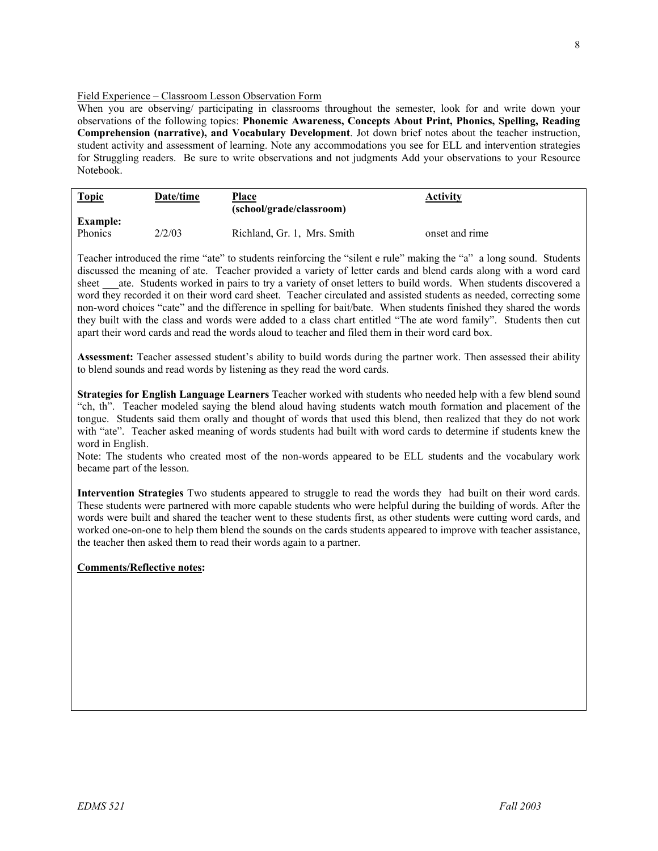### Field Experience – Classroom Lesson Observation Form

When you are observing/ participating in classrooms throughout the semester, look for and write down your observations of the following topics: **Phonemic Awareness, Concepts About Print, Phonics, Spelling, Reading Comprehension (narrative), and Vocabulary Development**. Jot down brief notes about the teacher instruction, student activity and assessment of learning. Note any accommodations you see for ELL and intervention strategies for Struggling readers. Be sure to write observations and not judgments Add your observations to your Resource Notebook.

| <b>Topic</b>    | Date/time | Place<br>(school/grade/classroom) | <b>Activity</b> |  |
|-----------------|-----------|-----------------------------------|-----------------|--|
| <b>Example:</b> |           |                                   |                 |  |
| Phonics         | 2/2/03    | Richland, Gr. 1, Mrs. Smith       | onset and rime  |  |

Teacher introduced the rime "ate" to students reinforcing the "silent e rule" making the "a" a long sound. Students discussed the meaning of ate. Teacher provided a variety of letter cards and blend cards along with a word card sheet ate. Students worked in pairs to try a variety of onset letters to build words. When students discovered a word they recorded it on their word card sheet. Teacher circulated and assisted students as needed, correcting some non-word choices "cate" and the difference in spelling for bait/bate. When students finished they shared the words they built with the class and words were added to a class chart entitled "The ate word family". Students then cut apart their word cards and read the words aloud to teacher and filed them in their word card box.

**Assessment:** Teacher assessed student's ability to build words during the partner work. Then assessed their ability to blend sounds and read words by listening as they read the word cards.

**Strategies for English Language Learners** Teacher worked with students who needed help with a few blend sound "ch, th". Teacher modeled saying the blend aloud having students watch mouth formation and placement of the tongue. Students said them orally and thought of words that used this blend, then realized that they do not work with "ate". Teacher asked meaning of words students had built with word cards to determine if students knew the word in English.

Note: The students who created most of the non-words appeared to be ELL students and the vocabulary work became part of the lesson.

**Intervention Strategies** Two students appeared to struggle to read the words they had built on their word cards. These students were partnered with more capable students who were helpful during the building of words. After the words were built and shared the teacher went to these students first, as other students were cutting word cards, and worked one-on-one to help them blend the sounds on the cards students appeared to improve with teacher assistance, the teacher then asked them to read their words again to a partner.

### **Comments/Reflective notes:**